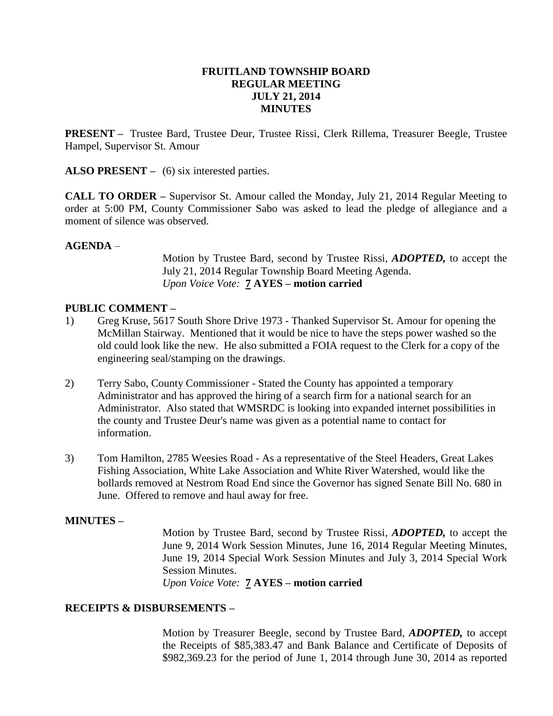#### **FRUITLAND TOWNSHIP BOARD REGULAR MEETING JULY 21, 2014 MINUTES**

**PRESENT –** Trustee Bard, Trustee Deur, Trustee Rissi, Clerk Rillema, Treasurer Beegle, Trustee Hampel, Supervisor St. Amour

**ALSO PRESENT** – (6) six interested parties.

**CALL TO ORDER –** Supervisor St. Amour called the Monday, July 21, 2014 Regular Meeting to order at 5:00 PM, County Commissioner Sabo was asked to lead the pledge of allegiance and a moment of silence was observed.

#### **AGENDA** –

Motion by Trustee Bard, second by Trustee Rissi, *ADOPTED,* to accept the July 21, 2014 Regular Township Board Meeting Agenda. *Upon Voice Vote:* **7 AYES – motion carried**

#### **PUBLIC COMMENT –**

- 1) Greg Kruse, 5617 South Shore Drive 1973 Thanked Supervisor St. Amour for opening the McMillan Stairway. Mentioned that it would be nice to have the steps power washed so the old could look like the new. He also submitted a FOIA request to the Clerk for a copy of the engineering seal/stamping on the drawings.
- 2) Terry Sabo, County Commissioner Stated the County has appointed a temporary Administrator and has approved the hiring of a search firm for a national search for an Administrator. Also stated that WMSRDC is looking into expanded internet possibilities in the county and Trustee Deur's name was given as a potential name to contact for information.
- 3) Tom Hamilton, 2785 Weesies Road As a representative of the Steel Headers, Great Lakes Fishing Association, White Lake Association and White River Watershed, would like the bollards removed at Nestrom Road End since the Governor has signed Senate Bill No. 680 in June. Offered to remove and haul away for free.

## **MINUTES –**

Motion by Trustee Bard, second by Trustee Rissi, *ADOPTED,* to accept the June 9, 2014 Work Session Minutes, June 16, 2014 Regular Meeting Minutes, June 19, 2014 Special Work Session Minutes and July 3, 2014 Special Work Session Minutes.

*Upon Voice Vote:* **7 AYES – motion carried**

#### **RECEIPTS & DISBURSEMENTS –**

Motion by Treasurer Beegle, second by Trustee Bard, *ADOPTED,* to accept the Receipts of \$85,383.47 and Bank Balance and Certificate of Deposits of \$982,369.23 for the period of June 1, 2014 through June 30, 2014 as reported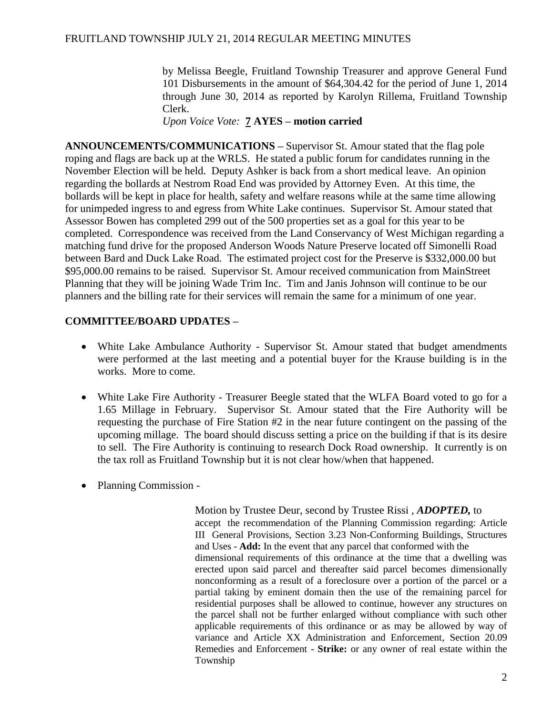by Melissa Beegle, Fruitland Township Treasurer and approve General Fund 101 Disbursements in the amount of \$64,304.42 for the period of June 1, 2014 through June 30, 2014 as reported by Karolyn Rillema, Fruitland Township Clerk.

*Upon Voice Vote:* **7 AYES – motion carried**

**ANNOUNCEMENTS/COMMUNICATIONS –** Supervisor St. Amour stated that the flag pole roping and flags are back up at the WRLS. He stated a public forum for candidates running in the November Election will be held. Deputy Ashker is back from a short medical leave. An opinion regarding the bollards at Nestrom Road End was provided by Attorney Even. At this time, the bollards will be kept in place for health, safety and welfare reasons while at the same time allowing for unimpeded ingress to and egress from White Lake continues. Supervisor St. Amour stated that Assessor Bowen has completed 299 out of the 500 properties set as a goal for this year to be completed. Correspondence was received from the Land Conservancy of West Michigan regarding a matching fund drive for the proposed Anderson Woods Nature Preserve located off Simonelli Road between Bard and Duck Lake Road. The estimated project cost for the Preserve is \$332,000.00 but \$95,000.00 remains to be raised. Supervisor St. Amour received communication from MainStreet Planning that they will be joining Wade Trim Inc. Tim and Janis Johnson will continue to be our planners and the billing rate for their services will remain the same for a minimum of one year.

# **COMMITTEE/BOARD UPDATES –**

- White Lake Ambulance Authority Supervisor St. Amour stated that budget amendments were performed at the last meeting and a potential buyer for the Krause building is in the works. More to come.
- White Lake Fire Authority Treasurer Beegle stated that the WLFA Board voted to go for a 1.65 Millage in February. Supervisor St. Amour stated that the Fire Authority will be requesting the purchase of Fire Station #2 in the near future contingent on the passing of the upcoming millage. The board should discuss setting a price on the building if that is its desire to sell. The Fire Authority is continuing to research Dock Road ownership. It currently is on the tax roll as Fruitland Township but it is not clear how/when that happened.
- Planning Commission -

Motion by Trustee Deur, second by Trustee Rissi , *ADOPTED,* to accept the recommendation of the Planning Commission regarding: Article III General Provisions, Section 3.23 Non-Conforming Buildings, Structures and Uses - **Add:** In the event that any parcel that conformed with the dimensional requirements of this ordinance at the time that a dwelling was erected upon said parcel and thereafter said parcel becomes dimensionally nonconforming as a result of a foreclosure over a portion of the parcel or a partial taking by eminent domain then the use of the remaining parcel for residential purposes shall be allowed to continue, however any structures on the parcel shall not be further enlarged without compliance with such other applicable requirements of this ordinance or as may be allowed by way of variance and Article XX Administration and Enforcement, Section 20.09 Remedies and Enforcement - **Strike:** or any owner of real estate within the Township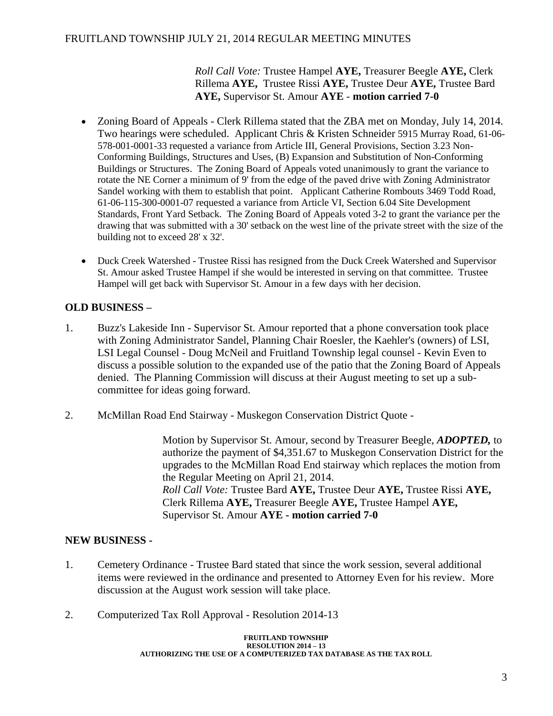## FRUITLAND TOWNSHIP JULY 21, 2014 REGULAR MEETING MINUTES

*Roll Call Vote:* Trustee Hampel **AYE,** Treasurer Beegle **AYE,** Clerk Rillema **AYE,** Trustee Rissi **AYE,** Trustee Deur **AYE,** Trustee Bard **AYE,** Supervisor St. Amour **AYE** - **motion carried 7-0**

- Zoning Board of Appeals Clerk Rillema stated that the ZBA met on Monday, July 14, 2014. Two hearings were scheduled. Applicant Chris & Kristen Schneider 5915 Murray Road, 61-06- 578-001-0001-33 requested a variance from Article III, General Provisions, Section 3.23 Non-Conforming Buildings, Structures and Uses, (B) Expansion and Substitution of Non-Conforming Buildings or Structures. The Zoning Board of Appeals voted unanimously to grant the variance to rotate the NE Corner a minimum of 9' from the edge of the paved drive with Zoning Administrator Sandel working with them to establish that point. Applicant Catherine Rombouts 3469 Todd Road, 61-06-115-300-0001-07 requested a variance from Article VI, Section 6.04 Site Development Standards, Front Yard Setback. The Zoning Board of Appeals voted 3-2 to grant the variance per the drawing that was submitted with a 30' setback on the west line of the private street with the size of the building not to exceed 28' x 32'.
- Duck Creek Watershed Trustee Rissi has resigned from the Duck Creek Watershed and Supervisor St. Amour asked Trustee Hampel if she would be interested in serving on that committee. Trustee Hampel will get back with Supervisor St. Amour in a few days with her decision.

# **OLD BUSINESS –**

- 1. Buzz's Lakeside Inn Supervisor St. Amour reported that a phone conversation took place with Zoning Administrator Sandel, Planning Chair Roesler, the Kaehler's (owners) of LSI, LSI Legal Counsel - Doug McNeil and Fruitland Township legal counsel - Kevin Even to discuss a possible solution to the expanded use of the patio that the Zoning Board of Appeals denied. The Planning Commission will discuss at their August meeting to set up a subcommittee for ideas going forward.
- 2. McMillan Road End Stairway Muskegon Conservation District Quote -

Motion by Supervisor St. Amour, second by Treasurer Beegle, *ADOPTED,* to authorize the payment of \$4,351.67 to Muskegon Conservation District for the upgrades to the McMillan Road End stairway which replaces the motion from the Regular Meeting on April 21, 2014. *Roll Call Vote:* Trustee Bard **AYE,** Trustee Deur **AYE,** Trustee Rissi **AYE,**  Clerk Rillema **AYE,** Treasurer Beegle **AYE,** Trustee Hampel **AYE,**  Supervisor St. Amour **AYE - motion carried 7-0**

## **NEW BUSINESS -**

- 1. Cemetery Ordinance Trustee Bard stated that since the work session, several additional items were reviewed in the ordinance and presented to Attorney Even for his review. More discussion at the August work session will take place.
- 2. Computerized Tax Roll Approval Resolution 2014-13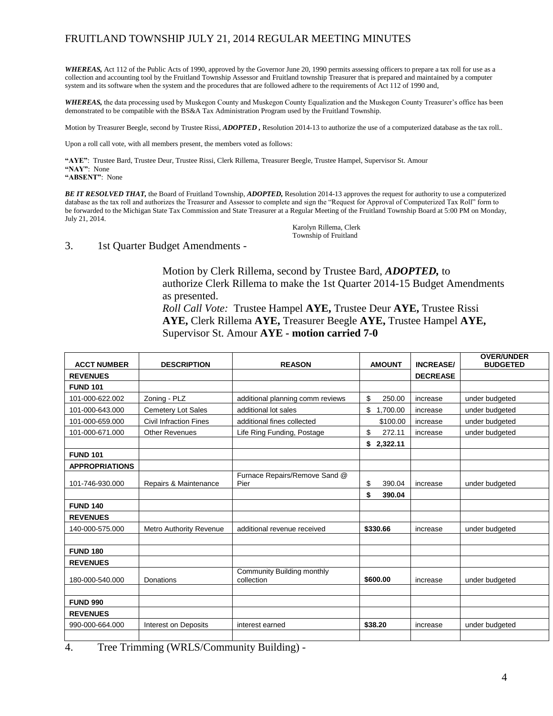## FRUITLAND TOWNSHIP JULY 21, 2014 REGULAR MEETING MINUTES

WHEREAS, Act 112 of the Public Acts of 1990, approved by the Governor June 20, 1990 permits assessing officers to prepare a tax roll for use as a collection and accounting tool by the Fruitland Township Assessor and Fruitland township Treasurer that is prepared and maintained by a computer system and its software when the system and the procedures that are followed adhere to the requirements of Act 112 of 1990 and,

*WHEREAS,* the data processing used by Muskegon County and Muskegon County Equalization and the Muskegon County Treasurer's office has been demonstrated to be compatible with the BS&A Tax Administration Program used by the Fruitland Township.

Motion by Treasurer Beegle, second by Trustee Rissi, *ADOPTED ,* Resolution 2014-13 to authorize the use of a computerized database as the tax roll..

Upon a roll call vote, with all members present, the members voted as follows:

**"AYE"**: Trustee Bard, Trustee Deur, Trustee Rissi, Clerk Rillema, Treasurer Beegle, Trustee Hampel, Supervisor St. Amour **"NAY"**: None

**"ABSENT"**: None

*BE IT RESOLVED THAT,* the Board of Fruitland Township, *ADOPTED,* Resolution 2014-13 approves the request for authority to use a computerized database as the tax roll and authorizes the Treasurer and Assessor to complete and sign the "Request for Approval of Computerized Tax Roll" form to be forwarded to the Michigan State Tax Commission and State Treasurer at a Regular Meeting of the Fruitland Township Board at 5:00 PM on Monday, July 21, 2014.

Karolyn Rillema, Clerk Township of Fruitland

3. 1st Quarter Budget Amendments -

Motion by Clerk Rillema, second by Trustee Bard, *ADOPTED,* to authorize Clerk Rillema to make the 1st Quarter 2014-15 Budget Amendments as presented. *Roll Call Vote:* Trustee Hampel **AYE,** Trustee Deur **AYE,** Trustee Rissi **AYE,** Clerk Rillema **AYE,** Treasurer Beegle **AYE,** Trustee Hampel **AYE,** 

|  |  |  |  |  | Supervisor St. Amour AYE - motion carried 7-0 |  |
|--|--|--|--|--|-----------------------------------------------|--|
|--|--|--|--|--|-----------------------------------------------|--|

| <b>ACCT NUMBER</b><br><b>DESCRIPTION</b> |                                | <b>REASON</b>                            | <b>AMOUNT</b>  | <b>INCREASE/</b> | <b>OVER/UNDER</b><br><b>BUDGETED</b> |
|------------------------------------------|--------------------------------|------------------------------------------|----------------|------------------|--------------------------------------|
| <b>REVENUES</b>                          |                                |                                          |                | <b>DECREASE</b>  |                                      |
| <b>FUND 101</b>                          |                                |                                          |                |                  |                                      |
| 101-000-622.002                          | Zoning - PLZ                   | additional planning comm reviews         | \$<br>250.00   | increase         | under budgeted                       |
| 101-000-643.000                          | Cemetery Lot Sales             | additional lot sales                     | \$<br>1,700.00 | increase         | under budgeted                       |
| 101-000-659.000                          | <b>Civil Infraction Fines</b>  | additional fines collected               | \$100.00       | increase         | under budgeted                       |
| 101-000-671.000                          | <b>Other Revenues</b>          | Life Ring Funding, Postage               | \$<br>272.11   | increase         | under budgeted                       |
|                                          |                                |                                          | 2,322.11<br>\$ |                  |                                      |
| <b>FUND 101</b>                          |                                |                                          |                |                  |                                      |
| <b>APPROPRIATIONS</b>                    |                                |                                          |                |                  |                                      |
| 101-746-930.000                          | Repairs & Maintenance          | Furnace Repairs/Remove Sand @<br>Pier    | \$<br>390.04   | increase         | under budgeted                       |
|                                          |                                |                                          | \$<br>390.04   |                  |                                      |
| <b>FUND 140</b>                          |                                |                                          |                |                  |                                      |
| <b>REVENUES</b>                          |                                |                                          |                |                  |                                      |
| 140-000-575.000                          | <b>Metro Authority Revenue</b> | additional revenue received              | \$330.66       | increase         | under budgeted                       |
|                                          |                                |                                          |                |                  |                                      |
| <b>FUND 180</b>                          |                                |                                          |                |                  |                                      |
| <b>REVENUES</b>                          |                                |                                          |                |                  |                                      |
| 180-000-540.000                          | Donations                      | Community Building monthly<br>collection | \$600.00       | increase         | under budgeted                       |
|                                          |                                |                                          |                |                  |                                      |
| <b>FUND 990</b>                          |                                |                                          |                |                  |                                      |
| <b>REVENUES</b>                          |                                |                                          |                |                  |                                      |
| 990-000-664.000                          | Interest on Deposits           | interest earned                          | \$38.20        | increase         | under budgeted                       |
|                                          |                                |                                          |                |                  |                                      |

4. Tree Trimming (WRLS/Community Building) -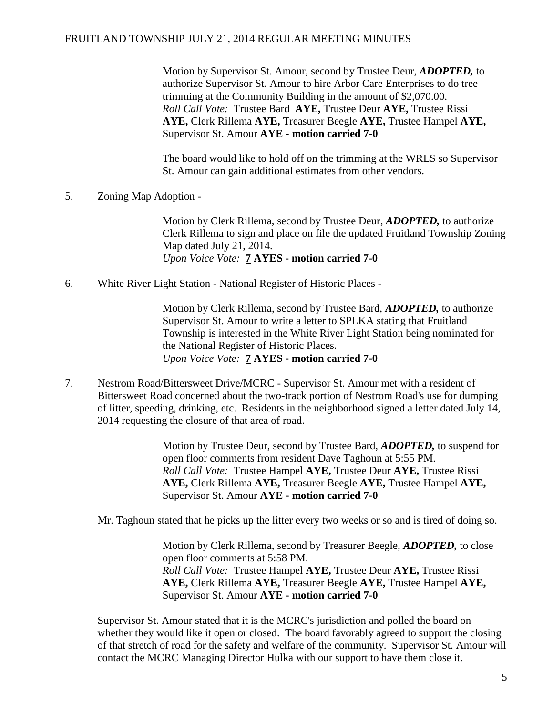#### FRUITLAND TOWNSHIP JULY 21, 2014 REGULAR MEETING MINUTES

Motion by Supervisor St. Amour, second by Trustee Deur, *ADOPTED,* to authorize Supervisor St. Amour to hire Arbor Care Enterprises to do tree trimming at the Community Building in the amount of \$2,070.00. *Roll Call Vote:* Trustee Bard **AYE,** Trustee Deur **AYE,** Trustee Rissi **AYE,** Clerk Rillema **AYE,** Treasurer Beegle **AYE,** Trustee Hampel **AYE,**  Supervisor St. Amour **AYE - motion carried 7-0**

The board would like to hold off on the trimming at the WRLS so Supervisor St. Amour can gain additional estimates from other vendors.

5. Zoning Map Adoption -

Motion by Clerk Rillema, second by Trustee Deur, *ADOPTED,* to authorize Clerk Rillema to sign and place on file the updated Fruitland Township Zoning Map dated July 21, 2014. *Upon Voice Vote:* **7 AYES - motion carried 7-0**

6. White River Light Station - National Register of Historic Places -

Motion by Clerk Rillema, second by Trustee Bard, *ADOPTED,* to authorize Supervisor St. Amour to write a letter to SPLKA stating that Fruitland Township is interested in the White River Light Station being nominated for the National Register of Historic Places. *Upon Voice Vote:* **7 AYES - motion carried 7-0**

7. Nestrom Road/Bittersweet Drive/MCRC - Supervisor St. Amour met with a resident of Bittersweet Road concerned about the two-track portion of Nestrom Road's use for dumping of litter, speeding, drinking, etc. Residents in the neighborhood signed a letter dated July 14, 2014 requesting the closure of that area of road.

> Motion by Trustee Deur, second by Trustee Bard, *ADOPTED,* to suspend for open floor comments from resident Dave Taghoun at 5:55 PM. *Roll Call Vote:* Trustee Hampel **AYE,** Trustee Deur **AYE,** Trustee Rissi **AYE,** Clerk Rillema **AYE,** Treasurer Beegle **AYE,** Trustee Hampel **AYE,**  Supervisor St. Amour **AYE - motion carried 7-0**

Mr. Taghoun stated that he picks up the litter every two weeks or so and is tired of doing so.

Motion by Clerk Rillema, second by Treasurer Beegle, *ADOPTED,* to close open floor comments at 5:58 PM. *Roll Call Vote:* Trustee Hampel **AYE,** Trustee Deur **AYE,** Trustee Rissi **AYE,** Clerk Rillema **AYE,** Treasurer Beegle **AYE,** Trustee Hampel **AYE,**  Supervisor St. Amour **AYE - motion carried 7-0**

Supervisor St. Amour stated that it is the MCRC's jurisdiction and polled the board on whether they would like it open or closed. The board favorably agreed to support the closing of that stretch of road for the safety and welfare of the community. Supervisor St. Amour will contact the MCRC Managing Director Hulka with our support to have them close it.